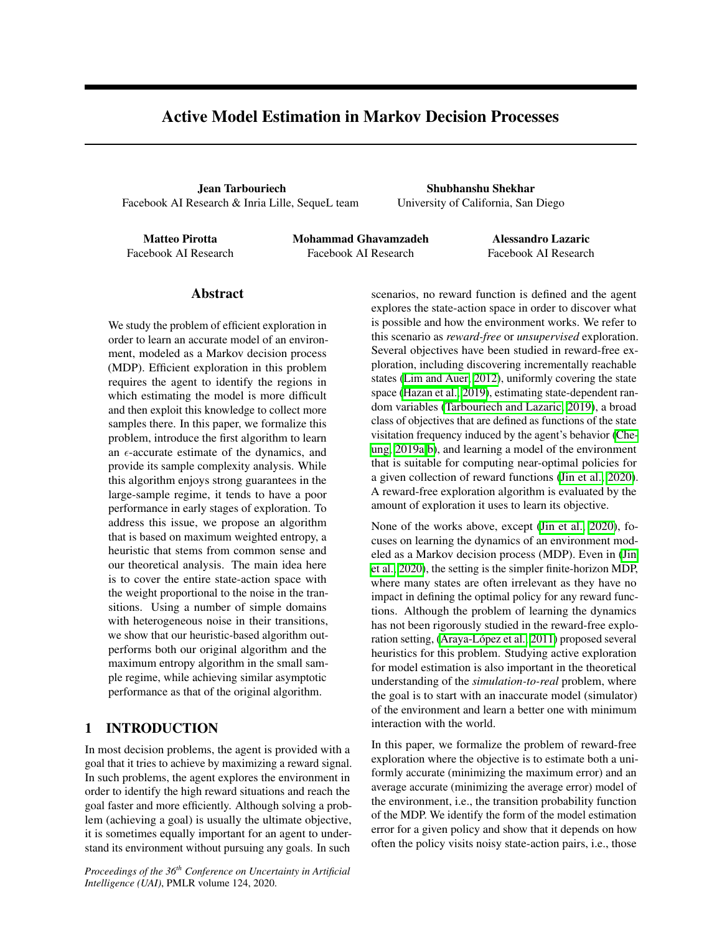# <span id="page-0-0"></span>Active Model Estimation in Markov Decision Processes

Jean Tarbouriech Facebook AI Research & Inria Lille, SequeL team

Shubhanshu Shekhar University of California, San Diego

Matteo Pirotta Facebook AI Research Mohammad Ghavamzadeh Facebook AI Research

Alessandro Lazaric Facebook AI Research

### Abstract

We study the problem of efficient exploration in order to learn an accurate model of an environment, modeled as a Markov decision process (MDP). Efficient exploration in this problem requires the agent to identify the regions in which estimating the model is more difficult and then exploit this knowledge to collect more samples there. In this paper, we formalize this problem, introduce the first algorithm to learn an  $\epsilon$ -accurate estimate of the dynamics, and provide its sample complexity analysis. While this algorithm enjoys strong guarantees in the large-sample regime, it tends to have a poor performance in early stages of exploration. To address this issue, we propose an algorithm that is based on maximum weighted entropy, a heuristic that stems from common sense and our theoretical analysis. The main idea here is to cover the entire state-action space with the weight proportional to the noise in the transitions. Using a number of simple domains with heterogeneous noise in their transitions, we show that our heuristic-based algorithm outperforms both our original algorithm and the maximum entropy algorithm in the small sample regime, while achieving similar asymptotic performance as that of the original algorithm.

# 1 INTRODUCTION

In most decision problems, the agent is provided with a goal that it tries to achieve by maximizing a reward signal. In such problems, the agent explores the environment in order to identify the high reward situations and reach the goal faster and more efficiently. Although solving a problem (achieving a goal) is usually the ultimate objective, it is sometimes equally important for an agent to understand its environment without pursuing any goals. In such

*Proceedings of the 36th Conference on Uncertainty in Artificial Intelligence (UAI)*, PMLR volume 124, 2020.

scenarios, no reward function is defined and the agent explores the state-action space in order to discover what is possible and how the environment works. We refer to this scenario as *reward-free* or *unsupervised* exploration. Several objectives have been studied in reward-free exploration, including discovering incrementally reachable states [\(Lim and Auer, 2012\)](#page-9-0), uniformly covering the state space [\(Hazan et al., 2019\)](#page-9-1), estimating state-dependent ran-dom variables [\(Tarbouriech and Lazaric, 2019\)](#page-9-2), a broad class of objectives that are defined as functions of the state visitation frequency induced by the agent's behavior [\(Che-](#page-9-3) $\langle \text{ung}, 2019a \vert \text{b} \rangle$ , and learning a model of the environment that is suitable for computing near-optimal policies for a given collection of reward functions [\(Jin et al., 2020\)](#page-9-5). A reward-free exploration algorithm is evaluated by the amount of exploration it uses to learn its objective.

<span id="page-0-1"></span>None of the works above, except [\(Jin et al., 2020\)](#page-9-5), focuses on learning the dynamics of an environment modeled as a Markov decision process (MDP). Even in [\(Jin](#page-9-5) [et al., 2020\)](#page-9-5), the setting is the simpler finite-horizon MDP, where many states are often irrelevant as they have no impact in defining the optimal policy for any reward functions. Although the problem of learning the dynamics has not been rigorously studied in the reward-free exploration setting, (Araya-López et al., 2011) proposed several heuristics for this problem. Studying active exploration for model estimation is also important in the theoretical understanding of the *simulation-to-real* problem, where the goal is to start with an inaccurate model (simulator) of the environment and learn a better one with minimum interaction with the world.

In this paper, we formalize the problem of reward-free exploration where the objective is to estimate both a uniformly accurate (minimizing the maximum error) and an average accurate (minimizing the average error) model of the environment, i.e., the transition probability function of the MDP. We identify the form of the model estimation error for a given policy and show that it depends on how often the policy visits noisy state-action pairs, i.e., those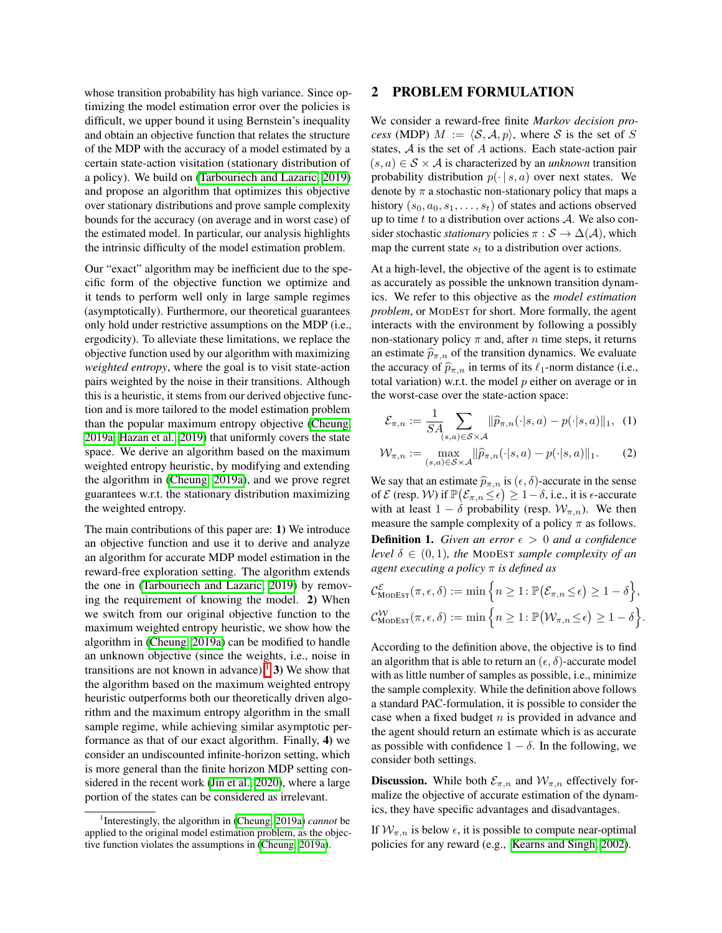whose transition probability has high variance. Since optimizing the model estimation error over the policies is difficult, we upper bound it using Bernstein's inequality and obtain an objective function that relates the structure of the MDP with the accuracy of a model estimated by a certain state-action visitation (stationary distribution of a policy). We build on [\(Tarbouriech and Lazaric, 2019\)](#page-9-2) and propose an algorithm that optimizes this objective over stationary distributions and prove sample complexity bounds for the accuracy (on average and in worst case) of the estimated model. In particular, our analysis highlights the intrinsic difficulty of the model estimation problem.

Our "exact" algorithm may be inefficient due to the specific form of the objective function we optimize and it tends to perform well only in large sample regimes (asymptotically). Furthermore, our theoretical guarantees only hold under restrictive assumptions on the MDP (i.e., ergodicity). To alleviate these limitations, we replace the objective function used by our algorithm with maximizing *weighted entropy*, where the goal is to visit state-action pairs weighted by the noise in their transitions. Although this is a heuristic, it stems from our derived objective function and is more tailored to the model estimation problem than the popular maximum entropy objective [\(Cheung,](#page-9-3) [2019a;](#page-9-3) [Hazan et al., 2019\)](#page-9-1) that uniformly covers the state space. We derive an algorithm based on the maximum weighted entropy heuristic, by modifying and extending the algorithm in [\(Cheung, 2019a\)](#page-9-3), and we prove regret guarantees w.r.t. the stationary distribution maximizing the weighted entropy.

The main contributions of this paper are: 1) We introduce an objective function and use it to derive and analyze an algorithm for accurate MDP model estimation in the reward-free exploration setting. The algorithm extends the one in [\(Tarbouriech and Lazaric, 2019\)](#page-9-2) by removing the requirement of knowing the model. 2) When we switch from our original objective function to the maximum weighted entropy heuristic, we show how the algorithm in [\(Cheung, 2019a\)](#page-9-3) can be modified to handle an unknown objective (since the weights, i.e., noise in transitions are not known in advance).<sup>[1</sup>] 3) We show that the algorithm based on the maximum weighted entropy heuristic outperforms both our theoretically driven algorithm and the maximum entropy algorithm in the small sample regime, while achieving similar asymptotic performance as that of our exact algorithm. Finally, 4) we consider an undiscounted infinite-horizon setting, which is more general than the finite horizon MDP setting considered in the recent work (Jin et al.,  $2020$ ), where a large portion of the states can be considered as irrelevant.

# <span id="page-1-3"></span>2 PROBLEM FORMULATION

We consider a reward-free finite *Markov decision process* (MDP)  $M := \langle S, A, p \rangle$ , where *S* is the set of *S* states, *A* is the set of *A* actions. Each state-action pair  $(s, a) \in S \times A$  is characterized by an *unknown* transition probability distribution  $p(\cdot | s, a)$  over next states. We denote by  $\pi$  a stochastic non-stationary policy that maps a history  $(s_0, a_0, s_1, \ldots, s_t)$  of states and actions observed up to time *t* to a distribution over actions *A*. We also consider stochastic *stationary* policies  $\pi : \mathcal{S} \to \Delta(\mathcal{A})$ , which map the current state  $s_t$  to a distribution over actions.

At a high-level, the objective of the agent is to estimate as accurately as possible the unknown transition dynamics. We refer to this objective as the *model estimation problem*, or MODEST for short. More formally, the agent interacts with the environment by following a possibly non-stationary policy  $\pi$  and, after  $n$  time steps, it returns an estimate  $\hat{p}_{\pi,n}$  of the transition dynamics. We evaluate the accuracy of  $\hat{p}_{\pi,n}$  in terms of its  $\ell_1$ -norm distance (i.e., total variation) w.r.t. the model *p* either on average or in the worst-case over the state-action space:

$$
\mathcal{E}_{\pi,n} := \frac{1}{SA} \sum_{(s,a)\in S\times\mathcal{A}} ||\widehat{p}_{\pi,n}(\cdot|s,a) - p(\cdot|s,a)||_1, \tag{1}
$$

$$
\mathcal{W}_{\pi,n} := \max_{(s,a)\in\mathcal{S}\times\mathcal{A}} \|\widehat{p}_{\pi,n}(\cdot|s,a) - p(\cdot|s,a)\|_1. \tag{2}
$$

We say that an estimate  $\widehat{p}_{\pi,n}$  is  $(\epsilon,\delta)$ -accurate in the sense of  $\mathcal E$  (resp. W) if  $\mathbb P\big(\mathcal E_{\pi,n}\leq \epsilon\big)\geq 1-\delta,$  i.e., it is  $\epsilon$ -accurate with at least  $1 - \delta$  probability (resp.  $W_{\pi,n}$ ). We then measure the sample complexity of a policy  $\pi$  as follows. **Definition 1.** *Given an error*  $\epsilon > 0$  *and a confidence level*  $\delta \in (0,1)$ *, the* MODEST *sample complexity of an agent executing a policy*  $\pi$  *is defined as* 

<span id="page-1-2"></span>
$$
\mathcal{C}_{\text{MoDEST}}^{\mathcal{E}}(\pi, \epsilon, \delta) := \min \Big\{ n \geq 1 : \mathbb{P}(\mathcal{E}_{\pi, n} \leq \epsilon) \geq 1 - \delta \Big\},
$$
  

$$
\mathcal{C}_{\text{MoDEST}}^{\mathcal{W}}(\pi, \epsilon, \delta) := \min \Big\{ n \geq 1 : \mathbb{P}(\mathcal{W}_{\pi, n} \leq \epsilon) \geq 1 - \delta \Big\}.
$$

According to the definition above, the objective is to find an algorithm that is able to return an  $(\epsilon, \delta)$ -accurate model with as little number of samples as possible, i.e., minimize the sample complexity. While the definition above follows a standard PAC-formulation, it is possible to consider the case when a fixed budget *n* is provided in advance and the agent should return an estimate which is as accurate as possible with confidence  $1 - \delta$ . In the following, we consider both settings.

**Discussion.** While both  $\mathcal{E}_{\pi,n}$  and  $\mathcal{W}_{\pi,n}$  effectively formalize the objective of accurate estimation of the dynamics, they have specific advantages and disadvantages.

<span id="page-1-1"></span>If  $W_{\pi,n}$  is below  $\epsilon$ , it is possible to compute near-optimal policies for any reward (e.g., [Kearns and Singh, 2002\)](#page-9-7).

<span id="page-1-0"></span><sup>&</sup>lt;sup>1</sup>Interestingly, the algorithm in [\(Cheung, 2019a\)](#page-9-3) *cannot* be applied to the original model estimation problem, as the objec-tive function violates the assumptions in [\(Cheung, 2019a\)](#page-9-3).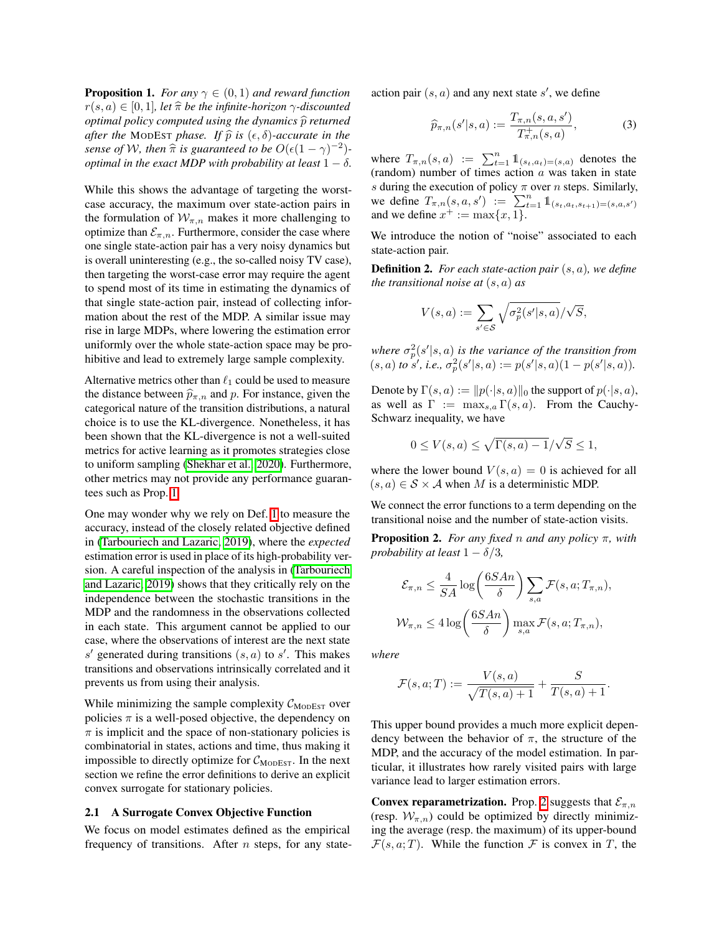**Proposition 1.** *For any*  $\gamma \in (0,1)$  *and reward function*  $r(s, a) \in [0, 1]$ *, let*  $\hat{\pi}$  *be the infinite-horizon*  $\gamma$ -discounted *optimal policy computed using the dynamics*  $\hat{p}$  *returned after the* MODEST *phase.* If  $\hat{p}$  *is*  $(\epsilon, \delta)$ *-accurate in the sense of W, then*  $\hat{\pi}$  *is guaranteed to be*  $O(\epsilon(1 - \gamma)^{-2})$ *optimal in the exact MDP with probability at least*  $1 - \delta$ .

While this shows the advantage of targeting the worstcase accuracy, the maximum over state-action pairs in the formulation of  $W_{\pi,n}$  makes it more challenging to optimize than  $\mathcal{E}_{\pi,n}$ . Furthermore, consider the case where one single state-action pair has a very noisy dynamics but is overall uninteresting (e.g., the so-called noisy TV case), then targeting the worst-case error may require the agent to spend most of its time in estimating the dynamics of that single state-action pair, instead of collecting information about the rest of the MDP. A similar issue may rise in large MDPs, where lowering the estimation error uniformly over the whole state-action space may be prohibitive and lead to extremely large sample complexity.

Alternative metrics other than  $\ell_1$  could be used to measure the distance between  $\hat{p}_{\pi,n}$  and *p*. For instance, given the categorical nature of the transition distributions, a natural choice is to use the KL-divergence. Nonetheless, it has been shown that the KL-divergence is not a well-suited metrics for active learning as it promotes strategies close to uniform sampling [\(Shekhar et al., 2020\)](#page-9-8). Furthermore, other metrics may not provide any performance guarantees such as Prop.  $\boxed{1}$ .

One may wonder why we rely on Def.  $\overline{1}$  to measure the accuracy, instead of the closely related objective defined in [\(Tarbouriech and Lazaric, 2019\)](#page-9-2), where the *expected* estimation error is used in place of its high-probability version. A careful inspection of the analysis in [\(Tarbouriech](#page-9-2) [and Lazaric, 2019\)](#page-9-2) shows that they critically rely on the independence between the stochastic transitions in the MDP and the randomness in the observations collected in each state. This argument cannot be applied to our case, where the observations of interest are the next state  $s'$  generated during transitions  $(s, a)$  to  $s'$ . This makes transitions and observations intrinsically correlated and it prevents us from using their analysis.

While minimizing the sample complexity  $C_{\text{MoDEST}}$  over policies  $\pi$  is a well-posed objective, the dependency on  $\pi$  is implicit and the space of non-stationary policies is combinatorial in states, actions and time, thus making it impossible to directly optimize for  $C_{\text{MoDEST}}$ . In the next section we refine the error definitions to derive an explicit convex surrogate for stationary policies.

#### 2.1 A Surrogate Convex Objective Function

We focus on model estimates defined as the empirical frequency of transitions. After *n* steps, for any stateaction pair  $(s, a)$  and any next state  $s'$ , we define

<span id="page-2-1"></span>
$$
\widehat{p}_{\pi,n}(s'|s,a) := \frac{T_{\pi,n}(s,a,s')}{T_{\pi,n}^+(s,a)},
$$
\n(3)

where  $T_{\pi,n}(s, a) := \sum_{t=1}^{n} \mathbb{1}_{(s_t, a_t) = (s, a)}$  denotes the (random) number of times action *a* was taken in state *s* during the execution of policy  $\pi$  over *n* steps. Similarly, we define  $T_{\pi,n}(s, a, s') := \sum_{t=1}^n \mathbb{1}_{(s_t, a_t, s_{t+1}) = (s, a, s')}$ and we define  $x^+ := \max\{x, 1\}.$ 

We introduce the notion of "noise" associated to each state-action pair.

Definition 2. *For each state-action pair* (*s, a*)*, we define the transitional noise at* (*s, a*) *as*

$$
V(s,a) := \sum_{s' \in \mathcal{S}} \sqrt{\sigma_p^2(s'|s,a)} / \sqrt{S},
$$

*where*  $\sigma_p^2(s'|s, a)$  *is the variance of the transition from*  $(s, a)$  *to s'*, *i.e.*,  $\sigma_p^2(s'|s, a) := p(s'|s, a)(1 - p(s'|s, a))$ .

Denote by  $\Gamma(s, a) := ||p(\cdot|s, a)||_0$  the support of  $p(\cdot|s, a)$ , as well as  $\Gamma := \max_{s,a} \Gamma(s,a)$ . From the Cauchy-Schwarz inequality, we have

$$
0 \le V(s, a) \le \sqrt{\Gamma(s, a) - 1}/\sqrt{S} \le 1,
$$

where the lower bound  $V(s, a) = 0$  is achieved for all  $(s, a) \in S \times A$  when *M* is a deterministic MDP.

We connect the error functions to a term depending on the transitional noise and the number of state-action visits.

<span id="page-2-0"></span>**Proposition 2.** *For any fixed n and any policy*  $\pi$ *, with probability at least*  $1 - \delta/3$ ,

$$
\mathcal{E}_{\pi,n} \leq \frac{4}{SA} \log \left( \frac{6SAn}{\delta} \right) \sum_{s,a} \mathcal{F}(s,a;T_{\pi,n}),
$$
  

$$
\mathcal{W}_{\pi,n} \leq 4 \log \left( \frac{6SAn}{\delta} \right) \max_{s,a} \mathcal{F}(s,a;T_{\pi,n}),
$$

*where*

$$
\mathcal{F}(s, a; T) := \frac{V(s, a)}{\sqrt{T(s, a) + 1}} + \frac{S}{T(s, a) + 1}.
$$

This upper bound provides a much more explicit dependency between the behavior of  $\pi$ , the structure of the MDP, and the accuracy of the model estimation. In particular, it illustrates how rarely visited pairs with large variance lead to larger estimation errors.

**Convex reparametrization.** Prop. [2](#page-2-0) suggests that  $\mathcal{E}_{\pi,n}$ (resp.  $W_{\pi,n}$ ) could be optimized by directly minimizing the average (resp. the maximum) of its upper-bound  $\mathcal{F}(s, a; T)$ . While the function  $\mathcal F$  is convex in *T*, the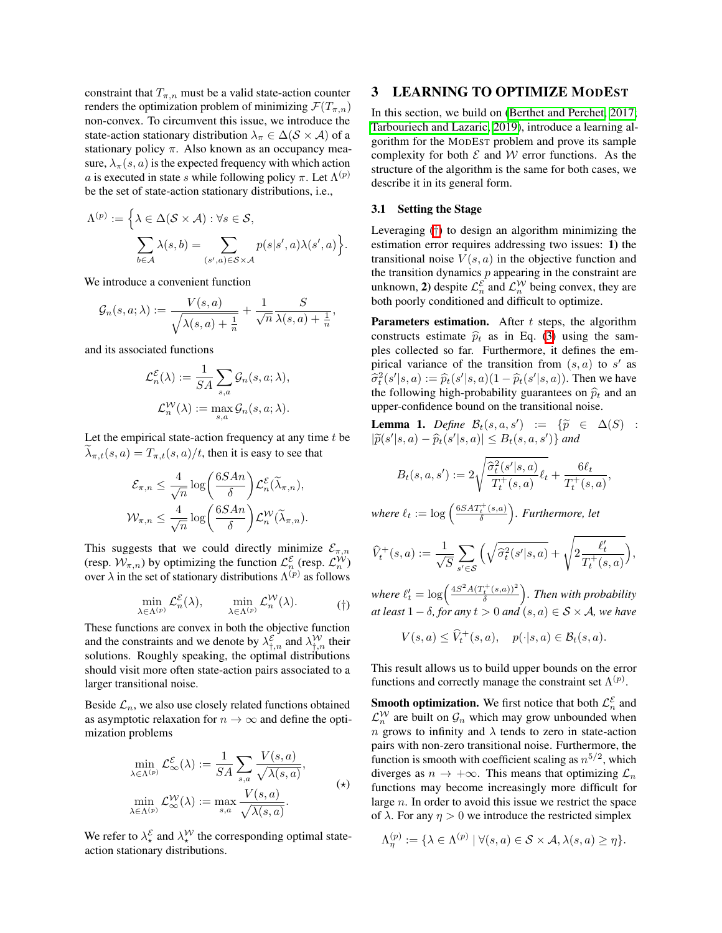constraint that  $T_{\pi,n}$  must be a valid state-action counter renders the optimization problem of minimizing  $\mathcal{F}(T_{\pi,n})$ non-convex. To circumvent this issue, we introduce the state-action stationary distribution  $\lambda_{\pi} \in \Delta(\mathcal{S} \times \mathcal{A})$  of a stationary policy  $\pi$ . Also known as an occupancy measure,  $\lambda_{\pi}(s, a)$  is the expected frequency with which action *a* is executed in state *s* while following policy  $\pi$ . Let  $\Lambda^{(p)}$ be the set of state-action stationary distributions, i.e.,

$$
\Lambda^{(p)} := \Big\{ \lambda \in \Delta(\mathcal{S} \times \mathcal{A}) : \forall s \in \mathcal{S},
$$

$$
\sum_{b \in \mathcal{A}} \lambda(s, b) = \sum_{(s', a) \in \mathcal{S} \times \mathcal{A}} p(s|s', a) \lambda(s', a) \Big\}.
$$

We introduce a convenient function

$$
\mathcal{G}_n(s,a;\lambda):=\frac{V(s,a)}{\sqrt{\lambda(s,a)+\frac{1}{n}}}+\frac{1}{\sqrt{n}}\frac{S}{\lambda(s,a)+\frac{1}{n}},
$$

and its associated functions

$$
\mathcal{L}_n^{\mathcal{E}}(\lambda) := \frac{1}{SA} \sum_{s,a} \mathcal{G}_n(s, a; \lambda),
$$

$$
\mathcal{L}_n^{\mathcal{W}}(\lambda) := \max_{s,a} \mathcal{G}_n(s, a; \lambda).
$$

Let the empirical state-action frequency at any time *t* be  $\lambda_{\pi,t}(s, a) = T_{\pi,t}(s, a)/t$ , then it is easy to see that

$$
\mathcal{E}_{\pi,n} \leq \frac{4}{\sqrt{n}} \log \left( \frac{6SAn}{\delta} \right) \mathcal{L}_n^{\mathcal{E}}(\widetilde{\lambda}_{\pi,n}),
$$
  

$$
\mathcal{W}_{\pi,n} \leq \frac{4}{\sqrt{n}} \log \left( \frac{6SAn}{\delta} \right) \mathcal{L}_n^{\mathcal{W}}(\widetilde{\lambda}_{\pi,n}).
$$

<span id="page-3-0"></span>This suggests that we could directly minimize  $\mathcal{E}_{\pi,n}$ (resp.  $W_{\pi,n}$ ) by optimizing the function  $\mathcal{L}_n^{\varepsilon}$  (resp.  $\mathcal{L}_n^{\mathcal{W}}$ ) over  $\lambda$  in the set of stationary distributions  $\Lambda^{(p)}$  as follows

$$
\min_{\lambda \in \Lambda^{(p)}} \mathcal{L}_n^{\mathcal{E}}(\lambda), \qquad \min_{\lambda \in \Lambda^{(p)}} \mathcal{L}_n^{\mathcal{W}}(\lambda). \tag{\dagger}
$$

These functions are convex in both the objective function and the constraints and we denote by  $\lambda_{\dagger,n}^{\varepsilon}$  and  $\lambda_{\dagger,n}^{W}$  their solutions. Roughly speaking, the optimal distributions should visit more often state-action pairs associated to a larger transitional noise.

Beside  $\mathcal{L}_n$ , we also use closely related functions obtained as asymptotic relaxation for  $n \to \infty$  and define the optimization problems

$$
\min_{\lambda \in \Lambda^{(p)}} \mathcal{L}_{\infty}^{\mathcal{E}}(\lambda) := \frac{1}{SA} \sum_{s,a} \frac{V(s,a)}{\sqrt{\lambda(s,a)}},
$$
  

$$
\min_{\lambda \in \Lambda^{(p)}} \mathcal{L}_{\infty}^{W}(\lambda) := \max_{s,a} \frac{V(s,a)}{\sqrt{\lambda(s,a)}}.
$$
 (\*)

We refer to  $\lambda_{\star}^{\mathcal{E}}$  and  $\lambda_{\star}^{\mathcal{W}}$  the corresponding optimal stateaction stationary distributions.

# <span id="page-3-2"></span>3 LEARNING TO OPTIMIZE MODEST

In this section, we build on [\(Berthet and Perchet, 2017;](#page-9-9) [Tarbouriech and Lazaric, 2019\)](#page-9-2), introduce a learning algorithm for the MODEST problem and prove its sample complexity for both  $\mathcal E$  and  $\mathcal W$  error functions. As the structure of the algorithm is the same for both cases, we describe it in its general form.

### 3.1 Setting the Stage

Leveraging (*[†](#page-3-0)*) to design an algorithm minimizing the estimation error requires addressing two issues: 1) the transitional noise  $V(s, a)$  in the objective function and the transition dynamics *p* appearing in the constraint are unknown, 2) despite  $\mathcal{L}_n^{\varepsilon}$  and  $\mathcal{L}_n^{\mathcal{W}}$  being convex, they are both poorly conditioned and difficult to optimize.

Parameters estimation. After *t* steps, the algorithm constructs estimate  $\hat{p}_t$  as in Eq. [\(3\)](#page-2-1) using the samples collected so far. Furthermore, it defines the empirical variance of the transition from  $(s, a)$  to  $s'$  as  $\hat{\sigma}_t^2(s'|s, a) := \hat{p}_t(s'|s, a)(1 - \hat{p}_t(s'|s, a))$ . Then we have the following high-probability guarantees on  $\hat{p}_t$  and an upper-confidence bound on the transitional noise.

<span id="page-3-1"></span>**Lemma 1.** Define  $\mathcal{B}_t(s, a, s') := \{\tilde{p} \in \Delta(S) : |\tilde{p}| \leq \epsilon \}$  $|\widetilde{p}(s'|s, a) - \widehat{p}_t(s'|s, a)| \leq B_t(s, a, s')\}$  *and* 

$$
B_t(s, a, s') := 2\sqrt{\frac{\widehat{\sigma}_t^2(s'|s, a)}{T_t^+(s, a)}\ell_t} + \frac{6\ell_t}{T_t^+(s, a)},
$$

*where*  $\ell_t := \log \left( \frac{6SAT_t^+(s,a)}{\delta} \right)$ ⌘ *. Furthermore, let*

$$
\widehat{V}^+_t(s,a) := \frac{1}{\sqrt{S}} \sum_{s' \in \mathcal{S}} \Big( \sqrt{\widehat{\sigma}^2_t(s'|s,a)} + \sqrt{2 \frac{\ell'_t}{T^+_t(s,a)}} \Big),
$$

*where*  $\ell'_t = \log \left( \frac{4S^2 A (T_t^+(s,a))^2}{\delta} \right)$ ⌘ *. Then with probability at least*  $1 - \delta$ *, for any*  $t > 0$  *and*  $(s, a) \in S \times A$ *, we have* 

$$
V(s,a) \leq \widehat{V}_t^+(s,a), \quad p(\cdot|s,a) \in \mathcal{B}_t(s,a).
$$

This result allows us to build upper bounds on the error functions and correctly manage the constraint set  $\Lambda^{(p)}$ .

**Smooth optimization.** We first notice that both  $\mathcal{L}_n^{\mathcal{E}}$  and  $\mathcal{L}_n^{\mathcal{W}}$  are built on  $\mathcal{G}_n$  which may grow unbounded when *n* grows to infinity and  $\lambda$  tends to zero in state-action pairs with non-zero transitional noise. Furthermore, the function is smooth with coefficient scaling as  $n^{5/2}$ , which diverges as  $n \to +\infty$ . This means that optimizing  $\mathcal{L}_n$ functions may become increasingly more difficult for large *n*. In order to avoid this issue we restrict the space of  $\lambda$ . For any  $\eta > 0$  we introduce the restricted simplex

$$
\Lambda_{\eta}^{(p)} := \{ \lambda \in \Lambda^{(p)} \mid \forall (s, a) \in \mathcal{S} \times \mathcal{A}, \lambda(s, a) \geq \eta \}.
$$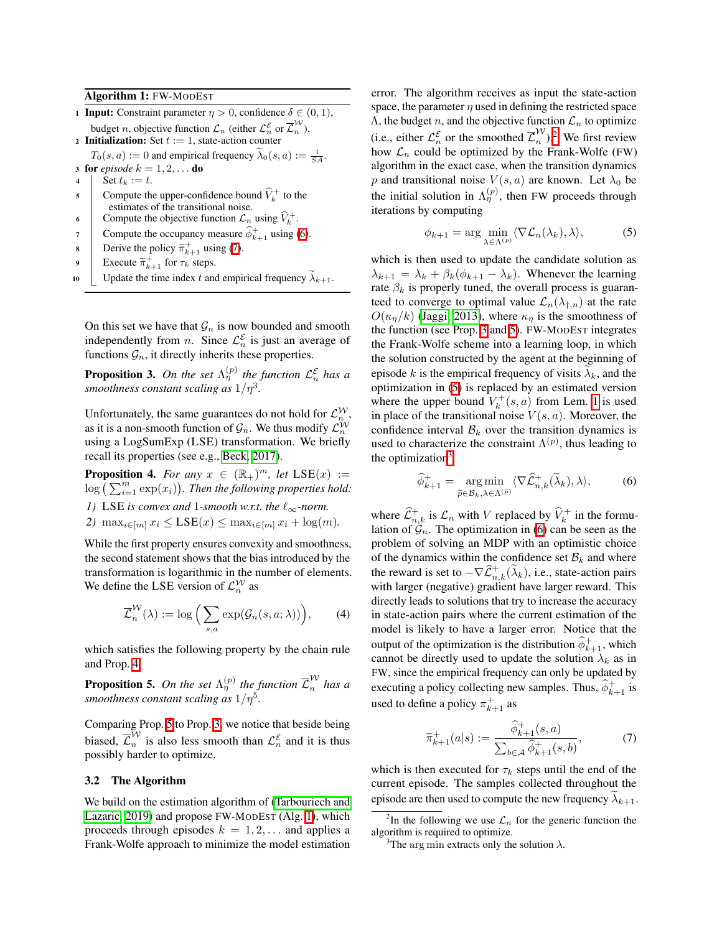Algorithm 1: FW-MODEST

- 1 **Input:** Constraint parameter  $\eta > 0$ , confidence  $\delta \in (0, 1)$ , budget *n*, objective function  $\mathcal{L}_n$  (either  $\mathcal{L}_n^{\mathcal{E}}$  or  $\overline{\mathcal{L}}_n^W$ ).
- 2 **Initialization:** Set  $t := 1$ , state-action counter

 $T_0(s, a) := 0$  and empirical frequency  $\tilde{\lambda}_0(s, a) := \frac{1}{SA}$ .

- 3 for *episode*  $k = 1, 2, \ldots$  do 4 | Set  $t_k := t$ .
- 5 Compute the upper-confidence bound  $\hat{V}_k^+$  to the estimates of the transitional noise.
- 6 Compute the objective function  $\mathcal{L}_n$  using  $\widehat{V}_k^+$ .
- 7 Compute the occupancy measure  $\widehat{\phi}_{k+1}^+$  using **6**.
- **8** Derive the policy  $\widetilde{\pi}_{k+1}^+$  using  $\overline{(\mathbf{7})}$ .
- **9** Execute  $\widetilde{\pi}_{k+1}^+$  for  $\tau_k$  steps.
- <span id="page-4-5"></span>10 | Update the time index *t* and empirical frequency  $\widetilde{\lambda}_{k+1}$ .

On this set we have that  $\mathcal{G}_n$  is now bounded and smooth independently from *n*. Since  $\mathcal{L}_n^{\mathcal{E}}$  is just an average of functions  $\mathcal{G}_n$ , it directly inherits these properties.

<span id="page-4-4"></span>**Proposition 3.** On the set  $\Lambda_{\eta}^{(p)}$  the function  $\mathcal{L}_{n}^{\mathcal{E}}$  has a *smoothness constant scaling as*  $1/\eta^3$ *.* 

Unfortunately, the same guarantees do not hold for  $\mathcal{L}_n^{\mathcal{W}}$ , as it is a non-smooth function of  $\mathcal{G}_n$ . We thus modify  $\mathcal{L}_n^{\mathcal{W}}$ using a LogSumExp (LSE) transformation. We briefly recall its properties (see e.g., [Beck, 2017\)](#page-9-10).

<span id="page-4-2"></span>**Proposition 4.** For any  $x \in (\mathbb{R}_+)^m$ , let  $LSE(x) :=$  $\log \tilde{p}(\sum_{i=1}^m \exp(x_i))$ . Then the following properties hold:

- *1)* LSE is convex and 1-smooth w.r.t. the  $\ell_{\infty}$ -norm.
- 2)  $\max_{i \in [m]} x_i \leq \text{LSE}(x) \leq \max_{i \in [m]} x_i + \log(m)$ .

While the first property ensures convexity and smoothness, the second statement shows that the bias introduced by the transformation is logarithmic in the number of elements. We define the LSE version of  $\mathcal{L}_n^{\mathcal{W}}$  as

$$
\overline{\mathcal{L}}_n^{\mathcal{W}}(\lambda) := \log \Big( \sum_{s,a} \exp(\mathcal{G}_n(s, a; \lambda)) \Big), \qquad (4)
$$

which satisfies the following property by the chain rule and Prop. 4

<span id="page-4-3"></span>**Proposition 5.** On the set  $\Lambda_{\eta}^{(p)}$  the function  $\overline{\mathcal{L}}_{n}^{W}$  has a *smoothness constant scaling as*  $1/\eta^5$ .

Comparing Prop.  $5$  to Prop.  $3$ , we notice that beside being biased,  $\overline{\mathcal{L}}_n^W$  is also less smooth than  $\mathcal{L}_n^{\mathcal{E}}$  and it is thus possibly harder to optimize.

### 3.2 The Algorithm

We build on the estimation algorithm of [\(Tarbouriech and](#page-9-2)  $\left| \frac{\text{Lazaric}}{\text{N}} \right|$ , 2019) and propose FW-MODEST (Alg.  $\left| \overline{\text{N}} \right|$ , which proceeds through episodes  $k = 1, 2, \ldots$  and applies a Frank-Wolfe approach to minimize the model estimation

error. The algorithm receives as input the state-action space, the parameter  $\eta$  used in defining the restricted space  $\Lambda$ , the budget *n*, and the objective function  $\mathcal{L}_n$  to optimize (i.e., either  $\mathcal{L}_n^{\mathcal{E}}$  or the smoothed  $\overline{\mathcal{L}}_n^{\mathcal{W}}$ ).<sup>2</sup> We first review how  $\mathcal{L}_n$  could be optimized by the Frank-Wolfe (FW) algorithm in the exact case, when the transition dynamics *p* and transitional noise  $V(s, a)$  are known. Let  $\lambda_0$  be the initial solution in  $\Lambda_{\eta}^{(p)}$ , then FW proceeds through iterations by computing

<span id="page-4-7"></span>
$$
\phi_{k+1} = \arg \min_{\lambda \in \Lambda^{(p)}} \langle \nabla \mathcal{L}_n(\lambda_k), \lambda \rangle,
$$
 (5)

which is then used to update the candidate solution as  $\lambda_{k+1} = \lambda_k + \beta_k(\phi_{k+1} - \lambda_k)$ . Whenever the learning rate  $\beta_k$  is properly tuned, the overall process is guaranteed to converge to optimal value  $\mathcal{L}_n(\lambda_{\dagger,n})$  at the rate  $O(\kappa_{\eta}/k)$  [\(Jaggi, 2013\)](#page-9-11), where  $\kappa_{\eta}$  is the smoothness of the function (see Prop.  $\boxed{3}$  and  $\boxed{5}$ ). FW-MODEST integrates the Frank-Wolfe scheme into a learning loop, in which the solution constructed by the agent at the beginning of episode  $k$  is the empirical frequency of visits  $\lambda_k$ , and the optimization in  $\boxed{5}$  is replaced by an estimated version where the upper bound  $V_k^+(s, a)$  from Lem.  $\boxed{1}$  is used in place of the transitional noise  $V(s, a)$ . Moreover, the confidence interval  $\mathcal{B}_k$  over the transition dynamics is used to characterize the constraint  $\Lambda^{(p)}$ , thus leading to the optimization $3$ 

<span id="page-4-0"></span>
$$
\widehat{\phi}_{k+1}^{+} = \underset{\widetilde{p} \in \mathcal{B}_{k}, \lambda \in \Lambda^{(\widetilde{p})}}{\arg \min} \langle \nabla \widehat{\mathcal{L}}_{n,k}^{+}(\widetilde{\lambda}_{k}), \lambda \rangle, \tag{6}
$$

where  $\widehat{\mathcal{L}}_{n,k}^+$  is  $\mathcal{L}_n$  with *V* replaced by  $\widehat{V}_k^+$  in the formulation of  $\mathcal{G}_n$ . The optimization in  $\mathcal{G}_n$  can be seen as the problem of solving an MDP with an optimistic choice of the dynamics within the confidence set  $B_k$  and where the reward is set to  $-\nabla \widehat{\mathcal{L}}_{n,k}^+(\widetilde{\lambda}_k)$ , i.e., state-action pairs with larger (negative) gradient have larger reward. This directly leads to solutions that try to increase the accuracy in state-action pairs where the current estimation of the model is likely to have a larger error. Notice that the output of the optimization is the distribution  $\widehat{\phi}_{k+1}^+$ , which cannot be directly used to update the solution  $\lambda_k$  as in FW, since the empirical frequency can only be updated by executing a policy collecting new samples. Thus,  $\hat{\phi}_{k+1}^+$  is used to define a policy  $\pi^+_{k+1}$  as

<span id="page-4-1"></span>
$$
\widetilde{\pi}_{k+1}^{+}(a|s) := \frac{\widehat{\phi}_{k+1}^{+}(s,a)}{\sum_{b \in \mathcal{A}} \widehat{\phi}_{k+1}^{+}(s,b)},\tag{7}
$$

which is then executed for  $\tau_k$  steps until the end of the current episode. The samples collected throughout the episode are then used to compute the new frequency  $\lambda_{k+1}$ .

<span id="page-4-6"></span><sup>&</sup>lt;sup>2</sup>In the following we use  $\mathcal{L}_n$  for the generic function the algorithm is required to optimize.

<span id="page-4-8"></span><sup>&</sup>lt;sup>3</sup>The arg min extracts only the solution  $\lambda$ .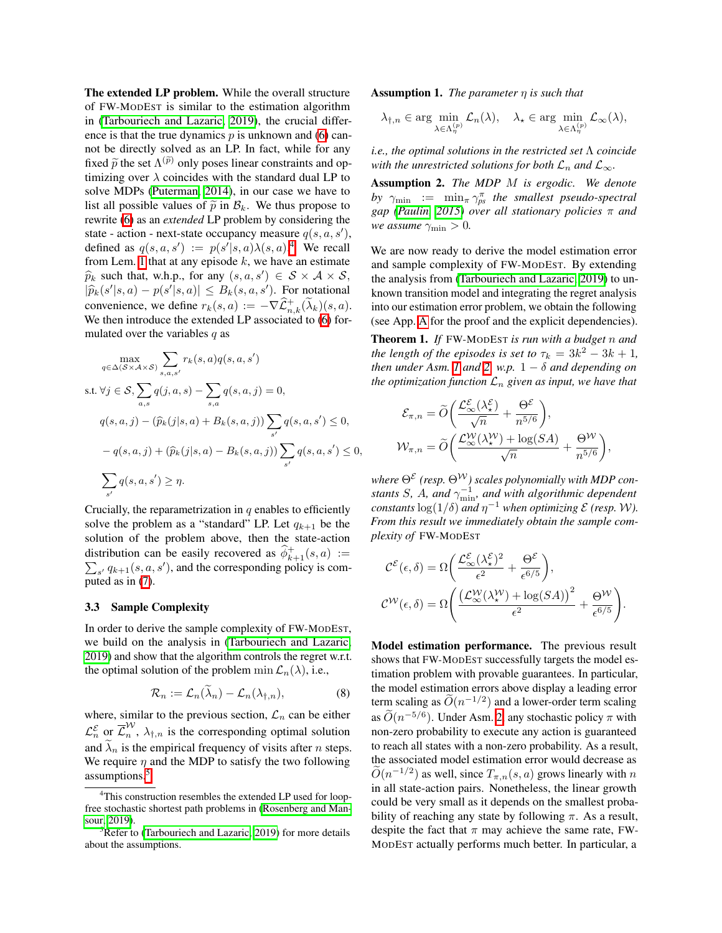The extended LP problem. While the overall structure of FW-MODEST is similar to the estimation algorithm in [\(Tarbouriech and Lazaric, 2019\)](#page-9-2), the crucial difference is that the true dynamics  $p$  is unknown and  $\sqrt{6}$  cannot be directly solved as an LP. In fact, while for any fixed  $\tilde{p}$  the set  $\Lambda^{(\tilde{p})}$  only poses linear constraints and optimizing over  $\lambda$  coincides with the standard dual LP to solve MDPs ( $\overline{$ Puterman,  $\overline{2014}$ ), in our case we have to list all possible values of  $\tilde{p}$  in  $\mathcal{B}_k$ . We thus propose to rewrite [\(6\)](#page-4-0) as an *extended* LP problem by considering the state - action - next-state occupancy measure  $q(s, a, s')$ , defined as  $q(s, a, s') := p(s'|s, a) \lambda(s, a)$ . We recall from Lem.  $\boxed{1}$  that at any episode  $k$ , we have an estimate  $\widehat{p}_k$  such that, w.h.p., for any  $(s, a, s') \in S \times A \times S$ ,  $|\widehat{p}_k(s'|s, a) - p(s'|s, a)| \leq B_k(s, a, s')$ . For notational convenience, we define  $r_k(s, a) := -\nabla \widehat{\mathcal{L}}_{n,k}^+(\lambda_k)(s, a)$ . We then introduce the extended LP associated to  $\overline{6}$  formulated over the variables *q* as

$$
\max_{q \in \Delta(S \times A \times S)} \sum_{s,a,s'} r_k(s,a) q(s,a,s')
$$
  
s.t.  $\forall j \in S, \sum_{a,s} q(j,a,s) - \sum_{s,a} q(s,a,j) = 0,$   

$$
q(s,a,j) - (\widehat{p}_k(j|s,a) + B_k(s,a,j)) \sum_{s'} q(s,a,s') \le 0,
$$

$$
-q(s,a,j) + (\widehat{p}_k(j|s,a) - B_k(s,a,j)) \sum_{s'} q(s,a,s') \le 0,
$$

$$
\sum_{s'} q(s,a,s') \ge \eta.
$$

Crucially, the reparametrization in *q* enables to efficiently solve the problem as a "standard" LP. Let  $q_{k+1}$  be the solution of the problem above, then the state-action distribution can be easily recovered as  $\hat{\phi}_{k+1}^+(s, a) :=$  $\sum_{s'} q_{k+1}(s, a, s')$ , and the corresponding policy is computed as in  $(7)$ .

#### 3.3 Sample Complexity

In order to derive the sample complexity of FW-MODEST, we build on the analysis in (Tarbouriech and Lazaric) [2019\)](#page-9-2) and show that the algorithm controls the regret w.r.t. the optimal solution of the problem min  $\mathcal{L}_n(\lambda)$ , i.e.,

$$
\mathcal{R}_n := \mathcal{L}_n(\lambda_n) - \mathcal{L}_n(\lambda_{\dagger,n}), \tag{8}
$$

where, similar to the previous section,  $\mathcal{L}_n$  can be either  $\mathcal{L}_n^{\mathcal{E}}$  or  $\overline{\mathcal{L}}_n^W$ ,  $\lambda_{\dagger,n}$  is the corresponding optimal solution and  $\widetilde{\lambda}_n$  is the empirical frequency of visits after *n* steps. We require  $\eta$  and the MDP to satisfy the two following assumptions.<sup>5</sup>

Assumption 1. *The parameter*  $\eta$  *is such that* 

$$
\lambda_{\dagger,n}\in\arg\min_{\lambda\in\Lambda_{\eta}^{(p)}}\mathcal{L}_n(\lambda),\quad \lambda_{\star}\in\arg\min_{\lambda\in\Lambda_{\eta}^{(p)}}\mathcal{L}_{\infty}(\lambda),
$$

*i.e., the optimal solutions in the restricted set*  $\Lambda$  *coincide with the unrestricted solutions for both*  $\mathcal{L}_n$  *and*  $\mathcal{L}_{\infty}$ *.* 

<span id="page-5-3"></span>Assumption 2. *The MDP M is ergodic. We denote by*  $\gamma_{\min}$  :=  $\min_{\pi} \gamma_{ps}^{\pi}$  *the smallest pseudo-spectral gap* (*Paulin*, 2015) *over all stationary policies*  $\pi$  *and we assume*  $\gamma_{\min} > 0$ .

We are now ready to derive the model estimation error and sample complexity of FW-MODEST. By extending the analysis from [\(Tarbouriech and Lazaric, 2019\)](#page-9-2) to unknown transition model and integrating the regret analysis into our estimation error problem, we obtain the following (see [A](#page-0-0)pp.  $\overline{A}$  for the proof and the explicit dependencies).

<span id="page-5-4"></span>Theorem 1. *If* FW-MODEST *is run with a budget n and the length of the episodes is set to*  $\tau_k = 3k^2 - 3k + 1$ , *then under Asm.*  $\boxed{I}$  *and*  $\boxed{2}$ , *w.p.*  $1 - \delta$  *and depending on the optimization function*  $\mathcal{L}_n$  *given as input, we have that* 

$$
\mathcal{E}_{\pi,n} = \widetilde{O}\bigg(\frac{\mathcal{L}^{\mathcal{E}}_{\infty}(\lambda^{\mathcal{E}}_{\star})}{\sqrt{n}} + \frac{\Theta^{\mathcal{E}}}{n^{5/6}}\bigg),
$$
  

$$
\mathcal{W}_{\pi,n} = \widetilde{O}\bigg(\frac{\mathcal{L}^{\mathcal{W}}_{\infty}(\lambda^{\mathcal{W}}_{\star}) + \log(SA)}{\sqrt{n}} + \frac{\Theta^{\mathcal{W}}}{n^{5/6}}\bigg),
$$

where  $\Theta^{\mathcal{E}}$  (resp.  $\Theta^{\mathcal{W}}$ ) scales polynomially with MDP con*stants S*, *A*, and  $\gamma_{\min}^{-1}$ , and with algorithmic dependent *constants*  $\log(1/\delta)$  *and*  $\eta^{-1}$  *when optimizing*  $\mathcal{E}$  *(resp. W). From this result we immediately obtain the sample complexity of* FW-MODEST

$$
\mathcal{C}^{\mathcal{E}}(\epsilon,\delta) = \Omega\bigg(\frac{\mathcal{L}^{\mathcal{E}}_{\infty}(\lambda^{\mathcal{E}}_{\star})^{2}}{\epsilon^{2}} + \frac{\Theta^{\mathcal{E}}}{\epsilon^{6/5}}\bigg),
$$
  

$$
\mathcal{C}^{\mathcal{W}}(\epsilon,\delta) = \Omega\bigg(\frac{(\mathcal{L}^{\mathcal{W}}_{\infty}(\lambda^{\mathcal{W}}_{\star}) + \log(SA))^{2}}{\epsilon^{2}} + \frac{\Theta^{\mathcal{W}}}{\epsilon^{6/5}}\bigg).
$$

<span id="page-5-5"></span>Model estimation performance. The previous result shows that FW-MODEST successfully targets the model estimation problem with provable guarantees. In particular, the model estimation errors above display a leading error term scaling as  $\tilde{O}(n^{-1/2})$  and a lower-order term scaling as  $\tilde{O}(n^{-5/6})$ . Under Asm. [2,](#page-5-3) any stochastic policy  $\pi$  with non-zero probability to execute any action is guaranteed to reach all states with a non-zero probability. As a result, the associated model estimation error would decrease as  $\tilde{O}(n^{-1/2})$  as well, since  $T_{\pi,n}(s, a)$  grows linearly with *n* in all state-action pairs. Nonetheless, the linear growth could be very small as it depends on the smallest probability of reaching any state by following  $\pi$ . As a result, despite the fact that  $\pi$  may achieve the same rate, FW-MODEST actually performs much better. In particular, a

<span id="page-5-2"></span><span id="page-5-0"></span><sup>&</sup>lt;sup>4</sup>This construction resembles the extended LP used for loopfree stochastic shortest path problems in [\(Rosenberg and Man](#page-9-13)[sour, 2019\)](#page-9-13).

<span id="page-5-1"></span> $\frac{5}{2}$ Refer to [\(Tarbouriech and Lazaric, 2019\)](#page-9-2) for more details about the assumptions.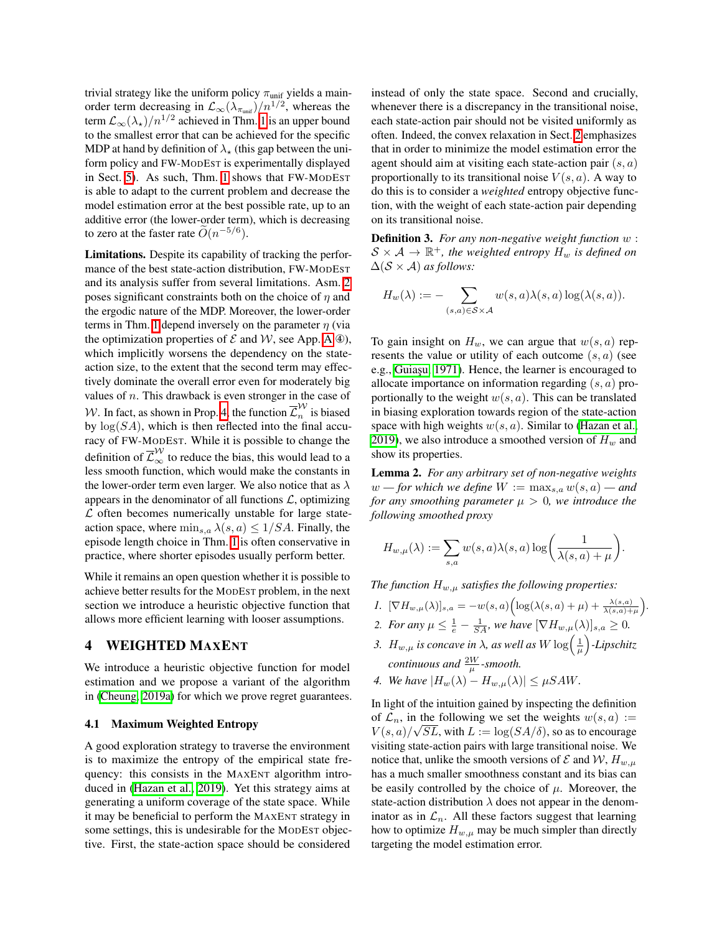trivial strategy like the uniform policy  $\pi_{\text{unif}}$  yields a mainorder term decreasing in  $\mathcal{L}_{\infty}(\lambda_{\pi_{\text{unif}}})/n^{1/2}$ , whereas the term  $\mathcal{L}_{\infty}(\lambda_{\star})/n^{1/2}$  achieved in Thm. [1](#page-5-4) is an upper bound to the smallest error that can be achieved for the specific MDP at hand by definition of  $\lambda_{\star}$  (this gap between the uniform policy and FW-MODEST is experimentally displayed in Sect.  $\overline{5}$ . As such, Thm.  $\overline{1}$  shows that FW-MODEST is able to adapt to the current problem and decrease the model estimation error at the best possible rate, up to an additive error (the lower-order term), which is decreasing to zero at the faster rate  $\tilde{O}(n^{-5/6})$ .

Limitations. Despite its capability of tracking the performance of the best state-action distribution, FW-MODEST and its analysis suffer from several limitations. Asm.  $2$ poses significant constraints both on the choice of  $\eta$  and the ergodic nature of the MDP. Moreover, the lower-order terms in Thm.  $\sqrt{1}$  depend inversely on the parameter  $\eta$  (via the optimization properties of  $\mathcal E$  and  $\mathcal W$ , see [A](#page-0-0)pp.  $\mathbf{A}(\mathbf{\Phi})$ , which implicitly worsens the dependency on the stateaction size, to the extent that the second term may effectively dominate the overall error even for moderately big values of *n*. This drawback is even stronger in the case of *W*. In fact, as shown in Prop.  $4$ , the function  $\overline{\mathcal{L}}_n^W$  is biased by  $log(SA)$ , which is then reflected into the final accuracy of FW-MODEST. While it is possible to change the definition of  $\overline{\mathcal{L}}_{\infty}^{\mathcal{W}}$  to reduce the bias, this would lead to a less smooth function, which would make the constants in the lower-order term even larger. We also notice that as  $\lambda$ appears in the denominator of all functions  $\mathcal{L}$ , optimizing *L* often becomes numerically unstable for large stateaction space, where  $\min_{s,a} \lambda(s,a) \leq 1/SA$ . Finally, the episode length choice in Thm.  $\sqrt{1}$  is often conservative in practice, where shorter episodes usually perform better.

While it remains an open question whether it is possible to achieve better results for the MODEST problem, in the next section we introduce a heuristic objective function that allows more efficient learning with looser assumptions.

### 4 WEIGHTED MAXENT

We introduce a heuristic objective function for model estimation and we propose a variant of the algorithm in [\(Cheung, 2019a\)](#page-9-3) for which we prove regret guarantees.

### 4.1 Maximum Weighted Entropy

A good exploration strategy to traverse the environment is to maximize the entropy of the empirical state frequency: this consists in the MAXENT algorithm intro-duced in [\(Hazan et al., 2019\)](#page-9-1). Yet this strategy aims at generating a uniform coverage of the state space. While it may be beneficial to perform the MAXENT strategy in some settings, this is undesirable for the MODEST objective. First, the state-action space should be considered

instead of only the state space. Second and crucially, whenever there is a discrepancy in the transitional noise, each state-action pair should not be visited uniformly as often. Indeed, the convex relaxation in Sect. [2](#page-1-3) emphasizes that in order to minimize the model estimation error the agent should aim at visiting each state-action pair (*s, a*) proportionally to its transitional noise  $V(s, a)$ . A way to do this is to consider a *weighted* entropy objective function, with the weight of each state-action pair depending on its transitional noise.

Definition 3. *For any non-negative weight function w* :  $S \times A \rightarrow \mathbb{R}^+$ , the weighted entropy  $H_w$  is defined on  $\Delta(S \times A)$  *as follows:* 

$$
H_w(\lambda) := - \sum_{(s,a) \in S \times \mathcal{A}} w(s,a) \lambda(s,a) \log(\lambda(s,a)).
$$

To gain insight on  $H_w$ , we can argue that  $w(s, a)$  represents the value or utility of each outcome (*s, a*) (see e.g., Guiașu, 1971). Hence, the learner is encouraged to allocate importance on information regarding (*s, a*) proportionally to the weight *w*(*s, a*). This can be translated in biasing exploration towards region of the state-action space with high weights  $w(s, a)$ . Similar to (Hazan et al.  $\sqrt{2019}$ , we also introduce a smoothed version of  $H_w$  and show its properties.

Lemma 2. *For any arbitrary set of non-negative weights*  $w$  *— for which we define*  $W := \max_{s,a} w(s,a)$  *— and for any smoothing parameter*  $\mu > 0$ *, we introduce the following smoothed proxy*

$$
H_{w,\mu}(\lambda) := \sum_{s,a} w(s,a)\lambda(s,a) \log \bigg(\frac{1}{\lambda(s,a)+\mu}\bigg).
$$

*The function*  $H_{w,\mu}$  *satisfies the following properties:* 

- *I.*  $[\nabla H_{w,\mu}(\lambda)]_{s,a} = -w(s,a)\Big(\log(\lambda(s,a)+\mu)+\frac{\lambda(s,a)}{\lambda(s,a)+\mu}\Big).$
- *2. For any*  $\mu \le \frac{1}{e} \frac{1}{SA}$ *, we have*  $[\nabla H_{w,\mu}(\lambda)]_{s,a} \ge 0$ *.*
- 3.  $H_{w,\mu}$  is concave in  $\lambda$ , as well as  $W\log\left(\frac{1}{\mu}\right)$ ⌘ *-Lipschitz continuous and*  $\frac{2W}{\mu}$ -smooth.
- *4. We have*  $|H_w(\lambda) H_{w,\mu}(\lambda)| \leq \mu SAW$ .

In light of the intuition gained by inspecting the definition of  $\mathcal{L}_n$ , in the following we set the weights  $w(s, a) :=$  $V(s, a)/\sqrt{SL}$ , with  $L := \log(SA/\delta)$ , so as to encourage visiting state-action pairs with large transitional noise. We notice that, unlike the smooth versions of  $\mathcal E$  and  $\mathcal W$ ,  $H_{w,u}$ has a much smaller smoothness constant and its bias can be easily controlled by the choice of  $\mu$ . Moreover, the state-action distribution  $\lambda$  does not appear in the denominator as in  $\mathcal{L}_n$ . All these factors suggest that learning how to optimize  $H_{w,\mu}$  may be much simpler than directly targeting the model estimation error.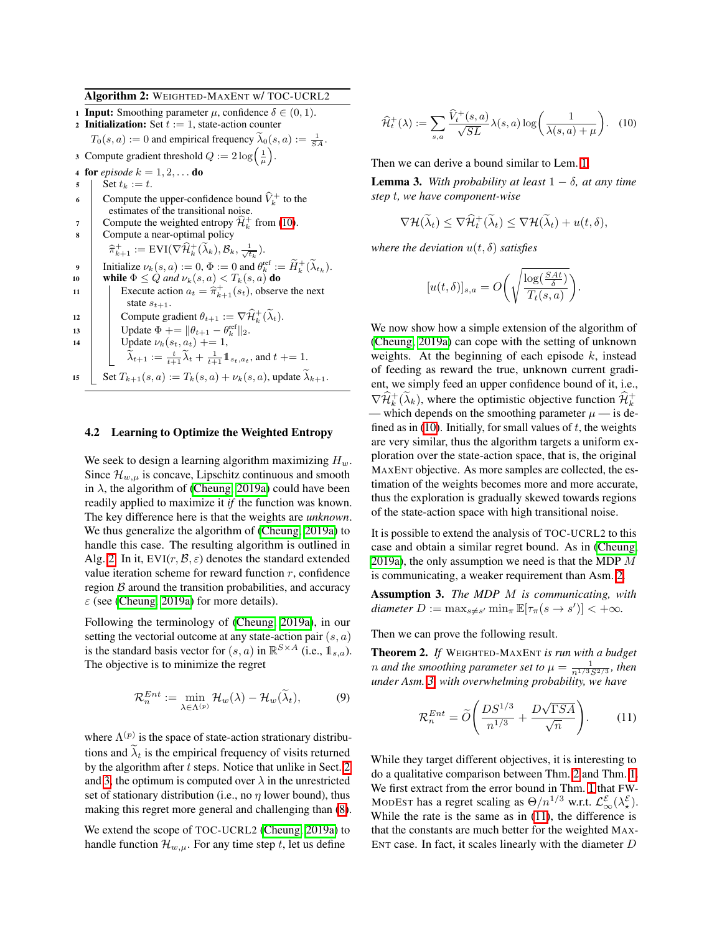Algorithm 2: WEIGHTED-MAXENT w/ TOC-UCRL2

1 **Input:** Smoothing parameter  $\mu$ , confidence  $\delta \in (0, 1)$ . 2 **Initialization:** Set  $t := 1$ , state-action counter  $T_0(s, a) := 0$  and empirical frequency  $\tilde{\lambda}_0(s, a) := \frac{1}{SA}$ . 3 Compute gradient threshold  $Q := 2 \log \left( \frac{1}{\mu} \right)$ . 4 for *episode*  $k = 1, 2, \ldots$  do 5 | Set  $t_k := t$ . 6 Compute the upper-confidence bound  $\hat{V}_k^+$  to the estimates of the transitional noise. 7 Compute the weighted entropy  $\widehat{\mathcal{H}}_k^+$  from [\(10\)](#page-7-0). <sup>8</sup> Compute a near-optimal policy  $\widehat{\pi}_{k+1}^+ := \text{EVI}(\nabla \widehat{\mathcal{H}}_k^+(\widetilde{\lambda}_k), \mathcal{B}_k, \frac{1}{\sqrt{t_k}}).$ **9** Initialize  $\nu_k(s, a) := 0, \Phi := 0$  and  $\theta_k^{\text{ref}} := \widetilde{H}_k^+(\widetilde{\lambda}_{t_k}).$ 10 while  $\Phi \le Q$  *and*  $\nu_k(s, a) < T_k(s, a)$  do<br>
11 Execute action  $a_t = \hat{\pi}_{k+1}^+(s_t)$ , observed 11 Execute action  $a_t = \hat{\pi}_{k+1}^+(s_t)$ , observe the next state  $s_{t+1}$ . 12 Compute gradient  $\theta_{t+1} := \nabla \widehat{\mathcal{H}}_k^+(\widetilde{\lambda}_t)$ . 13 Update  $\Phi$  +=  $\|\theta_{t+1} - \theta_k^{\text{ref}}\|_2$ .<br>
Update  $\nu_k(s_t, a_t)$  += 1,  $\widetilde{\lambda}_{t+1} := \frac{t}{t+1} \widetilde{\lambda}_t + \frac{1}{t+1} \mathbb{1}_{s_t, a_t}$ , and  $t \neq 1$ . 15 Set  $T_{k+1}(s, a) := T_k(s, a) + \nu_k(s, a)$ , update  $\widetilde{\lambda}_{k+1}$ .

#### <span id="page-7-1"></span>4.2 Learning to Optimize the Weighted Entropy

We seek to design a learning algorithm maximizing *Hw*. Since  $\mathcal{H}_{w,\mu}$  is concave, Lipschitz continuous and smooth in  $\lambda$ , the algorithm of [\(Cheung, 2019a\)](#page-9-3) could have been readily applied to maximize it *if* the function was known. The key difference here is that the weights are *unknown*. We thus generalize the algorithm of [\(Cheung, 2019a\)](#page-9-3) to handle this case. The resulting algorithm is outlined in Alg.  $[2]$ . In it, EVI $(r, \mathcal{B}, \varepsilon)$  denotes the standard extended value iteration scheme for reward function *r*, confidence region *B* around the transition probabilities, and accuracy  $\varepsilon$  (see [\(Cheung, 2019a\)](#page-9-3) for more details).

Following the terminology of [\(Cheung, 2019a\)](#page-9-3), in our setting the vectorial outcome at any state-action pair (*s, a*) is the standard basis vector for  $(s, a)$  in  $\mathbb{R}^{S \times A}$  (i.e.,  $\mathbb{1}_{s,a}$ ). The objective is to minimize the regret

$$
\mathcal{R}_n^{Ent} := \min_{\lambda \in \Lambda^{(p)}} \mathcal{H}_w(\lambda) - \mathcal{H}_w(\widetilde{\lambda}_t), \tag{9}
$$

where  $\Lambda^{(p)}$  is the space of state-action strationary distributions and  $\tilde{\lambda}_t$  is the empirical frequency of visits returned by the algorithm after  $t$  steps. Notice that unlike in Sect.  $2$ and  $3\ell$  the optimum is computed over  $\lambda$  in the unrestricted set of stationary distribution (i.e., no  $\eta$  lower bound), thus making this regret more general and challenging than  $(\sqrt{8})$ .

We extend the scope of TOC-UCRL2 [\(Cheung, 2019a\)](#page-9-3) to handle function  $\mathcal{H}_{w,\mu}$ . For any time step *t*, let us define

<span id="page-7-0"></span>
$$
\widehat{\mathcal{H}}_t^+(\lambda) := \sum_{s,a} \frac{\widehat{V}_t^+(s,a)}{\sqrt{SL}} \lambda(s,a) \log \left( \frac{1}{\lambda(s,a) + \mu} \right). \tag{10}
$$

Then we can derive a bound similar to Lem.  $\boxed{1}$ .

**Lemma 3.** With probability at least  $1 - \delta$ , at any time *step t, we have component-wise*

$$
\nabla \mathcal{H}(\widetilde{\lambda}_t) \leq \nabla \widehat{\mathcal{H}}_t^+(\widetilde{\lambda}_t) \leq \nabla \mathcal{H}(\widetilde{\lambda}_t) + u(t,\delta),
$$

*where the deviation*  $u(t, \delta)$  *satisfies* 

$$
[u(t, \delta)]_{s,a} = O\bigg(\sqrt{\frac{\log(\frac{SAt}{\delta})}{T_t(s,a)}}\bigg).
$$

We now show how a simple extension of the algorithm of [\(Cheung, 2019a\)](#page-9-3) can cope with the setting of unknown weights. At the beginning of each episode *k*, instead of feeding as reward the true, unknown current gradient, we simply feed an upper confidence bound of it, i.e.,  $\nabla \widehat{\mathcal{H}}_k^+ (\widetilde{\lambda}_k)$ , where the optimistic objective function  $\widehat{\mathcal{H}}_k^+$ — which depends on the smoothing parameter  $\mu$  — is defined as in  $\sqrt{10}$ . Initially, for small values of *t*, the weights are very similar, thus the algorithm targets a uniform exploration over the state-action space, that is, the original MAXENT objective. As more samples are collected, the estimation of the weights becomes more and more accurate, thus the exploration is gradually skewed towards regions of the state-action space with high transitional noise.

It is possible to extend the analysis of TOC-UCRL2 to this case and obtain a similar regret bound. As in [\(Cheung,](#page-9-3) [2019a\)](#page-9-3), the only assumption we need is that the MDP *M* is communicating, a weaker requirement than  $\text{Asm.}$   $\boxed{2}$ .

<span id="page-7-2"></span>Assumption 3. *The MDP M is communicating, with*  $diameter\ D:=\max_{s\neq s'}\min_{\pi}\mathbb{E}[\tau_{\pi}(s\rightarrow s')] < +\infty.$ 

Then we can prove the following result.

<span id="page-7-3"></span>Theorem 2. *If* WEIGHTED-MAXENT *is run with a budget n* and the smoothing parameter set to  $\mu = \frac{1}{n^{1/3}S^{2/3}}$ , then *under Asm. [3,](#page-7-2) with overwhelming probability, we have*

<span id="page-7-4"></span>
$$
\mathcal{R}_n^{Ent} = \widetilde{O}\left(\frac{DS^{1/3}}{n^{1/3}} + \frac{D\sqrt{\Gamma SA}}{\sqrt{n}}\right). \tag{11}
$$

While they target different objectives, it is interesting to do a qualitative comparison between Thm.  $\sqrt{2}$  and Thm.  $\sqrt{1}$ . We first extract from the error bound in Thm.  $\Box$  that FW-MODEST has a regret scaling as  $\Theta/n^{1/3}$  w.r.t.  $\mathcal{L}_{\infty}^{\mathcal{E}}(\lambda_{\star}^{\mathcal{E}})$ . While the rate is the same as in  $(11)$ , the difference is that the constants are much better for the weighted MAX-ENT case. In fact, it scales linearly with the diameter *D*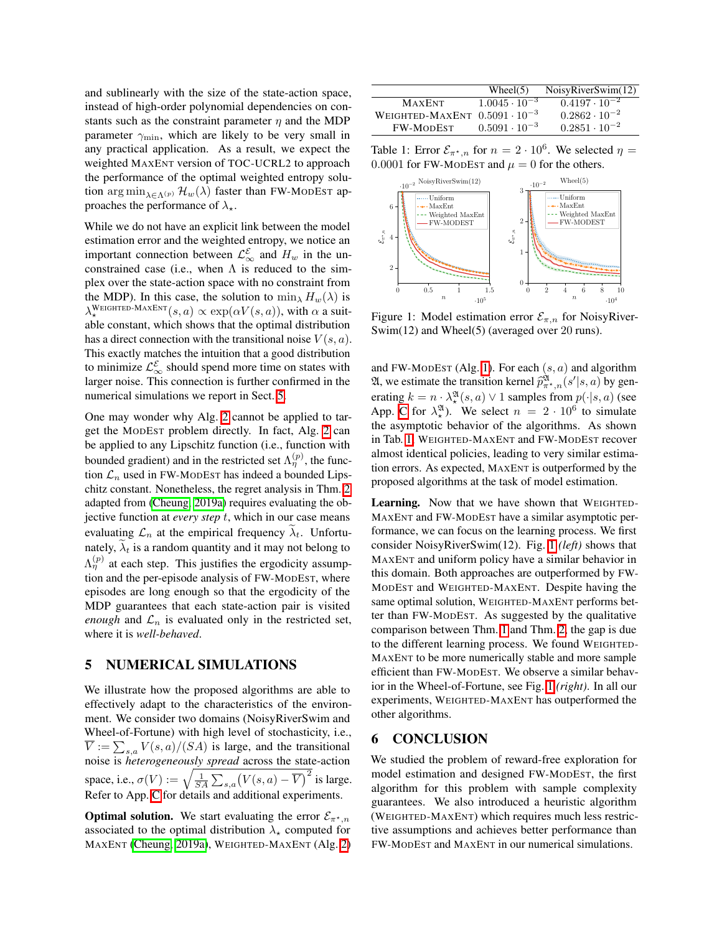and sublinearly with the size of the state-action space, instead of high-order polynomial dependencies on constants such as the constraint parameter  $\eta$  and the MDP parameter  $\gamma_{\text{min}}$ , which are likely to be very small in any practical application. As a result, we expect the weighted MAXENT version of TOC-UCRL2 to approach the performance of the optimal weighted entropy solution arg min<sub> $\lambda \in \Lambda(p)$ </sub>  $\mathcal{H}_w(\lambda)$  faster than FW-MODEST approaches the performance of  $\lambda_{\star}$ .

While we do not have an explicit link between the model estimation error and the weighted entropy, we notice an important connection between  $\mathcal{L}_{\infty}^{\mathcal{E}}$  and  $H_w$  in the unconstrained case (i.e., when  $\Lambda$  is reduced to the simplex over the state-action space with no constraint from the MDP). In this case, the solution to  $\min_{\lambda} H_w(\lambda)$  is  $\lambda_\star^{\text{WEIGHTED-MAXENT}}(s,a) \propto \exp(\alpha V(s,a)),$  with  $\alpha$  a suitable constant, which shows that the optimal distribution has a direct connection with the transitional noise  $V(s, a)$ . This exactly matches the intuition that a good distribution to minimize  $\mathcal{L}^{\mathcal{E}}_{\infty}$  should spend more time on states with larger noise. This connection is further confirmed in the numerical simulations we report in Sect. [5.](#page-8-0)

One may wonder why Alg.  $2$  cannot be applied to target the MODEST problem directly. In fact, Alg.  $2$  can be applied to any Lipschitz function (i.e., function with bounded gradient) and in the restricted set  $\Lambda_{\eta}^{(p)}$ , the function  $\mathcal{L}_n$  used in FW-MODEST has indeed a bounded Lips-chitz constant. Nonetheless, the regret analysis in Thm. [2](#page-7-3) adapted from [\(Cheung, 2019a\)](#page-9-3) requires evaluating the objective function at *every step t*, which in our case means evaluating  $\mathcal{L}_n$  at the empirical frequency  $\lambda_t$ . Unfortunately,  $\lambda_t$  is a random quantity and it may not belong to  $\Lambda_{\eta}^{(p)}$  at each step. This justifies the ergodicity assumption and the per-episode analysis of FW-MODEST, where episodes are long enough so that the ergodicity of the MDP guarantees that each state-action pair is visited *enough* and  $\mathcal{L}_n$  is evaluated only in the restricted set, where it is *well-behaved*.

### <span id="page-8-0"></span>5 NUMERICAL SIMULATIONS

We illustrate how the proposed algorithms are able to effectively adapt to the characteristics of the environment. We consider two domains (NoisyRiverSwim and Wheel-of-Fortune) with high level of stochasticity, i.e.,  $\overline{V} := \sum_{s,a} V(s,a)/(SA)$  is large, and the transitional noise is *heterogeneously spread* across the state-action space, i.e.,  $\sigma(V) := \sqrt{\frac{1}{SA} \sum_{s,a} (V(s, a) - \overline{V})^2}$  is large. Refer to App.  $\overline{C}$  for details and additional experiments.

**Optimal solution.** We start evaluating the error  $\mathcal{E}_{\pi^*,n}$ associated to the optimal distribution  $\lambda_{\star}$  computed for MAXENT [\(Cheung, 2019a\)](#page-9-3), WEIGHTED-MAXENT (Alg. [2\)](#page-7-1)

|                                        | Wheel(5)               | NoisyRiverSwim(12)     |
|----------------------------------------|------------------------|------------------------|
| <b>MAXENT</b>                          | $1.0045 \cdot 10^{-3}$ | $0.4197 \cdot 10^{-2}$ |
| WEIGHTED-MAXENT $0.5091 \cdot 10^{-3}$ |                        | $0.2862 \cdot 10^{-2}$ |
| <b>FW-MODEST</b>                       | $0.5091 \cdot 10^{-3}$ | $0.2851 \cdot 10^{-2}$ |

<span id="page-8-1"></span>Table 1: Error  $\mathcal{E}_{\pi^*n}$  for  $n = 2 \cdot 10^6$ . We selected  $\eta =$ 0.0001 for FW-MODEST and  $\mu = 0$  for the others.



<span id="page-8-2"></span>Figure 1: Model estimation error  $\mathcal{E}_{\pi,n}$  for NoisyRiver-Swim(12) and Wheel(5) (averaged over 20 runs).

and FW-MODEST (Alg.  $\overline{1}$ ). For each  $(s, a)$  and algorithm 21, we estimate the transition kernel  $\hat{p}_{\pi^*,n}^{\mathfrak{A}}(s'|s,a)$  by generating  $k = n \cdot \lambda_*^{\mathfrak{A}}(s, a) \vee 1$  samples from  $p(\cdot|s, a)$  (see App. [C](#page-0-1) for  $\lambda_*^{21}$ . We select  $n = 2 \cdot 10^6$  to simulate the asymptotic behavior of the algorithms. As shown in Tab. **1**, WEIGHTED-MAXENT and FW-MODEST recover almost identical policies, leading to very similar estimation errors. As expected, MAXENT is outperformed by the proposed algorithms at the task of model estimation.

Learning. Now that we have shown that WEIGHTED-MAXENT and FW-MODEST have a similar asymptotic performance, we can focus on the learning process. We first consider NoisyRiverSwim(12). Fig. [1](#page-8-2) *(left)* shows that MAXENT and uniform policy have a similar behavior in this domain. Both approaches are outperformed by FW-MODEST and WEIGHTED-MAXENT. Despite having the same optimal solution, WEIGHTED-MAXENT performs better than FW-MODEST. As suggested by the qualitative comparison between Thm.  $\boxed{1}$  and Thm.  $\boxed{2}$ , the gap is due to the different learning process. We found WEIGHTED-MAXENT to be more numerically stable and more sample efficient than FW-MODEST. We observe a similar behavior in the Wheel-of-Fortune, see Fig.  $\sqrt{1}$  *(right)*. In all our experiments, WEIGHTED-MAXENT has outperformed the other algorithms.

# 6 CONCLUSION

We studied the problem of reward-free exploration for model estimation and designed FW-MODEST, the first algorithm for this problem with sample complexity guarantees. We also introduced a heuristic algorithm (WEIGHTED-MAXENT) which requires much less restrictive assumptions and achieves better performance than FW-MODEST and MAXENT in our numerical simulations.